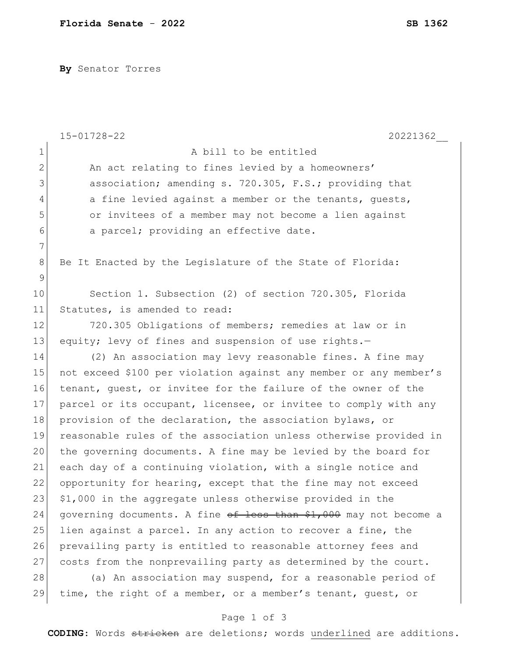**By** Senator Torres

|              | $15 - 01728 - 22$<br>20221362                                     |
|--------------|-------------------------------------------------------------------|
| $\mathbf 1$  | A bill to be entitled                                             |
| $\mathbf{2}$ | An act relating to fines levied by a homeowners'                  |
| 3            | association; amending s. 720.305, F.S.; providing that            |
| 4            | a fine levied against a member or the tenants, guests,            |
| 5            | or invitees of a member may not become a lien against             |
| 6            | a parcel; providing an effective date.                            |
| 7            |                                                                   |
| 8            | Be It Enacted by the Legislature of the State of Florida:         |
| 9            |                                                                   |
| 10           | Section 1. Subsection (2) of section 720.305, Florida             |
| 11           | Statutes, is amended to read:                                     |
| 12           | 720.305 Obligations of members; remedies at law or in             |
| 13           | equity; levy of fines and suspension of use rights.-              |
| 14           | (2) An association may levy reasonable fines. A fine may          |
| 15           | not exceed \$100 per violation against any member or any member's |
| 16           | tenant, guest, or invitee for the failure of the owner of the     |
| 17           | parcel or its occupant, licensee, or invitee to comply with any   |
| 18           | provision of the declaration, the association bylaws, or          |
| 19           | reasonable rules of the association unless otherwise provided in  |
| 20           | the governing documents. A fine may be levied by the board for    |
| 21           | each day of a continuing violation, with a single notice and      |
| 22           | opportunity for hearing, except that the fine may not exceed      |
| 23           | \$1,000 in the aggregate unless otherwise provided in the         |
| 24           | governing documents. A fine of less than \$1,000 may not become a |
| 25           | lien against a parcel. In any action to recover a fine, the       |
| 26           | prevailing party is entitled to reasonable attorney fees and      |
| 27           | costs from the nonprevailing party as determined by the court.    |
| 28           | (a) An association may suspend, for a reasonable period of        |
| 29           | time, the right of a member, or a member's tenant, quest, or      |

## Page 1 of 3

**CODING**: Words stricken are deletions; words underlined are additions.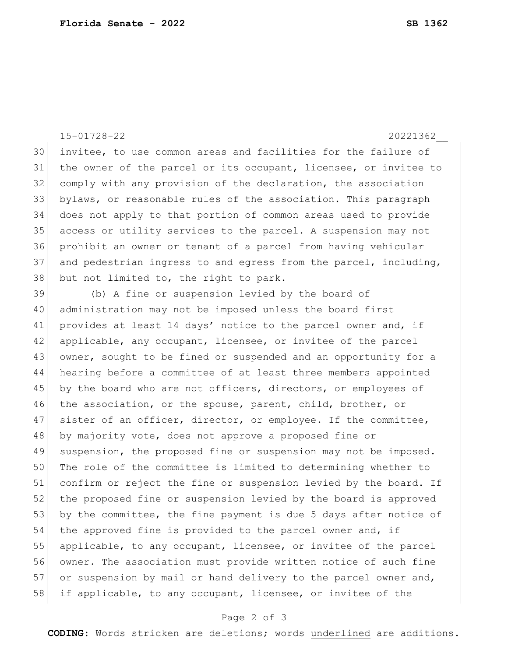15-01728-22 20221362\_\_

 invitee, to use common areas and facilities for the failure of the owner of the parcel or its occupant, licensee, or invitee to comply with any provision of the declaration, the association bylaws, or reasonable rules of the association. This paragraph does not apply to that portion of common areas used to provide access or utility services to the parcel. A suspension may not prohibit an owner or tenant of a parcel from having vehicular 37 and pedestrian ingress to and egress from the parcel, including, but not limited to, the right to park.

39 (b) A fine or suspension levied by the board of 40 administration may not be imposed unless the board first 41 provides at least 14 days' notice to the parcel owner and, if 42 applicable, any occupant, licensee, or invitee of the parcel 43 owner, sought to be fined or suspended and an opportunity for a 44 hearing before a committee of at least three members appointed 45 by the board who are not officers, directors, or employees of 46 the association, or the spouse, parent, child, brother, or 47 sister of an officer, director, or employee. If the committee, 48 by majority vote, does not approve a proposed fine or 49 suspension, the proposed fine or suspension may not be imposed. 50 The role of the committee is limited to determining whether to 51 confirm or reject the fine or suspension levied by the board. If 52 the proposed fine or suspension levied by the board is approved 53 by the committee, the fine payment is due 5 days after notice of 54 the approved fine is provided to the parcel owner and, if 55 applicable, to any occupant, licensee, or invitee of the parcel 56 owner. The association must provide written notice of such fine 57 or suspension by mail or hand delivery to the parcel owner and, 58 if applicable, to any occupant, licensee, or invitee of the

## Page 2 of 3

**CODING**: Words stricken are deletions; words underlined are additions.